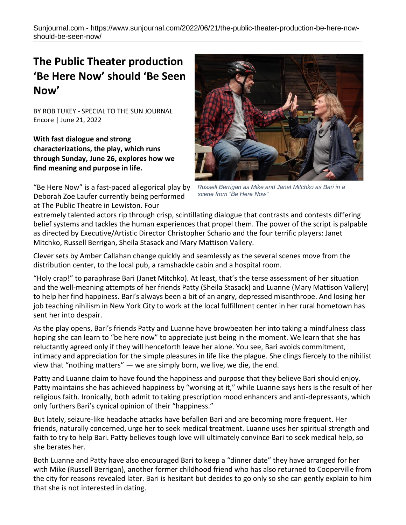## **The Public Theater production 'Be Here Now' should 'Be Seen Now'**

BY ROB TUKEY - SPECIAL TO THE SUN JOURNAL Encore | June 21, 2022

**With fast dialogue and strong characterizations, the play, which runs through Sunday, June 26, explores how we find meaning and purpose in life.**



*Russell Berrigan as Mike and Janet Mitchko as Bari in a scene from "Be Here Now"*

"Be Here Now" is a fast-paced allegorical play by Deborah Zoe Laufer currently being performed at The Public Theatre in Lewiston. Four

extremely talented actors rip through crisp, scintillating dialogue that contrasts and contests differing belief systems and tackles the human experiences that propel them. The power of the script is palpable as directed by Executive/Artistic Director Christopher Schario and the four terrific players: Janet Mitchko, Russell Berrigan, Sheila Stasack and Mary Mattison Vallery.

Clever sets by Amber Callahan change quickly and seamlessly as the several scenes move from the distribution center, to the local pub, a ramshackle cabin and a hospital room.

"Holy crap!" to paraphrase Bari (Janet Mitchko). At least, that's the terse assessment of her situation and the well-meaning attempts of her friends Patty (Sheila Stasack) and Luanne (Mary Mattison Vallery) to help her find happiness. Bari's always been a bit of an angry, depressed misanthrope. And losing her job teaching nihilism in New York City to work at the local fulfillment center in her rural hometown has sent her into despair.

As the play opens, Bari's friends Patty and Luanne have browbeaten her into taking a mindfulness class hoping she can learn to "be here now" to appreciate just being in the moment. We learn that she has reluctantly agreed only if they will henceforth leave her alone. You see, Bari avoids commitment, intimacy and appreciation for the simple pleasures in life like the plague. She clings fiercely to the nihilist view that "nothing matters" — we are simply born, we live, we die, the end.

Patty and Luanne claim to have found the happiness and purpose that they believe Bari should enjoy. Patty maintains she has achieved happiness by "working at it," while Luanne says hers is the result of her religious faith. Ironically, both admit to taking prescription mood enhancers and anti-depressants, which only furthers Bari's cynical opinion of their "happiness."

But lately, seizure-like headache attacks have befallen Bari and are becoming more frequent. Her friends, naturally concerned, urge her to seek medical treatment. Luanne uses her spiritual strength and faith to try to help Bari. Patty believes tough love will ultimately convince Bari to seek medical help, so she berates her.

Both Luanne and Patty have also encouraged Bari to keep a "dinner date" they have arranged for her with Mike (Russell Berrigan), another former childhood friend who has also returned to Cooperville from the city for reasons revealed later. Bari is hesitant but decides to go only so she can gently explain to him that she is not interested in dating.